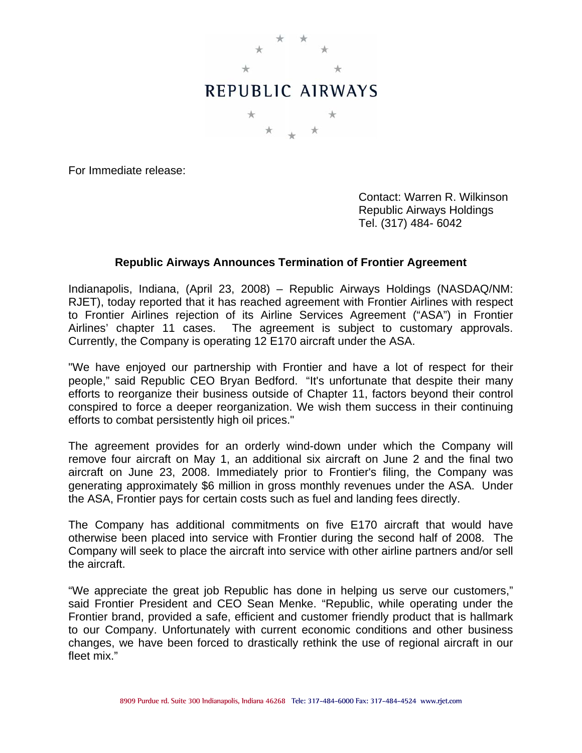

For Immediate release:

 Contact: Warren R. Wilkinson Republic Airways Holdings Tel. (317) 484- 6042

## **Republic Airways Announces Termination of Frontier Agreement**

Indianapolis, Indiana, (April 23, 2008) – Republic Airways Holdings (NASDAQ/NM: RJET), today reported that it has reached agreement with Frontier Airlines with respect to Frontier Airlines rejection of its Airline Services Agreement ("ASA") in Frontier Airlines' chapter 11 cases. The agreement is subject to customary approvals. Currently, the Company is operating 12 E170 aircraft under the ASA.

"We have enjoyed our partnership with Frontier and have a lot of respect for their people," said Republic CEO Bryan Bedford. "It's unfortunate that despite their many efforts to reorganize their business outside of Chapter 11, factors beyond their control conspired to force a deeper reorganization. We wish them success in their continuing efforts to combat persistently high oil prices."

The agreement provides for an orderly wind-down under which the Company will remove four aircraft on May 1, an additional six aircraft on June 2 and the final two aircraft on June 23, 2008. Immediately prior to Frontier's filing, the Company was generating approximately \$6 million in gross monthly revenues under the ASA. Under the ASA, Frontier pays for certain costs such as fuel and landing fees directly.

The Company has additional commitments on five E170 aircraft that would have otherwise been placed into service with Frontier during the second half of 2008. The Company will seek to place the aircraft into service with other airline partners and/or sell the aircraft.

"We appreciate the great job Republic has done in helping us serve our customers," said Frontier President and CEO Sean Menke. "Republic, while operating under the Frontier brand, provided a safe, efficient and customer friendly product that is hallmark to our Company. Unfortunately with current economic conditions and other business changes, we have been forced to drastically rethink the use of regional aircraft in our fleet mix."